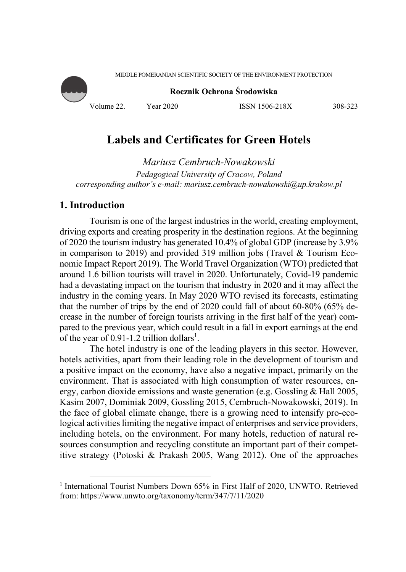

# **Labels and Certificates for Green Hotels**

*Mariusz Cembruch-Nowakowski Pedagogical University of Cracow, Poland corresponding author's e-mail: mariusz.cembruch-nowakowski@up.krakow.pl* 

# **1. Introduction**

Tourism is one of the largest industries in the world, creating employment, driving exports and creating prosperity in the destination regions. At the beginning of 2020 the tourism industry has generated 10.4% of global GDP (increase by 3.9% in comparison to 2019) and provided 319 million jobs (Travel  $\&$  Tourism Economic Impact Report 2019). The World Travel Organization (WTO) predicted that around 1.6 billion tourists will travel in 2020. Unfortunately, Covid-19 pandemic had a devastating impact on the tourism that industry in 2020 and it may affect the industry in the coming years. In May 2020 WTO revised its forecasts, estimating that the number of trips by the end of 2020 could fall of about 60-80% (65% decrease in the number of foreign tourists arriving in the first half of the year) compared to the previous year, which could result in a fall in export earnings at the end of the year of  $0.91$ -1.2 trillion dollars<sup>1</sup>.

The hotel industry is one of the leading players in this sector. However, hotels activities, apart from their leading role in the development of tourism and a positive impact on the economy, have also a negative impact, primarily on the environment. That is associated with high consumption of water resources, energy, carbon dioxide emissions and waste generation (e.g. Gossling & Hall 2005, Kasim 2007, Dominiak 2009, Gossling 2015, Cembruch-Nowakowski, 2019). In the face of global climate change, there is a growing need to intensify pro-ecological activities limiting the negative impact of enterprises and service providers, including hotels, on the environment. For many hotels, reduction of natural resources consumption and recycling constitute an important part of their competitive strategy (Potoski & Prakash 2005, Wang 2012). One of the approaches

<sup>&</sup>lt;sup>1</sup> International Tourist Numbers Down 65% in First Half of 2020, UNWTO. Retrieved from: https://www.unwto.org/taxonomy/term/347/7/11/2020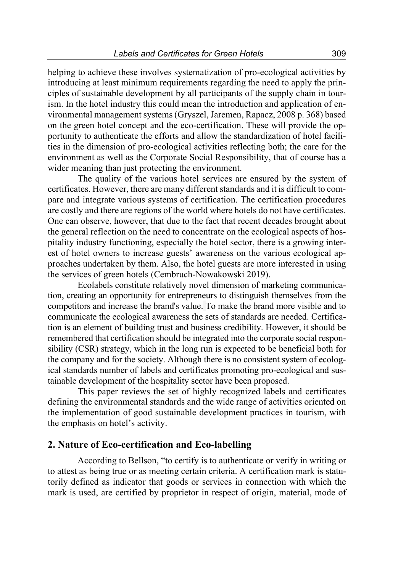helping to achieve these involves systematization of pro-ecological activities by introducing at least minimum requirements regarding the need to apply the principles of sustainable development by all participants of the supply chain in tourism. In the hotel industry this could mean the introduction and application of environmental management systems (Gryszel, Jaremen, Rapacz, 2008 p. 368) based on the green hotel concept and the eco-certification. These will provide the opportunity to authenticate the efforts and allow the standardization of hotel facilities in the dimension of pro-ecological activities reflecting both; the care for the environment as well as the Corporate Social Responsibility, that of course has a wider meaning than just protecting the environment.

The quality of the various hotel services are ensured by the system of certificates. However, there are many different standards and it is difficult to compare and integrate various systems of certification. The certification procedures are costly and there are regions of the world where hotels do not have certificates. One can observe, however, that due to the fact that recent decades brought about the general reflection on the need to concentrate on the ecological aspects of hospitality industry functioning, especially the hotel sector, there is a growing interest of hotel owners to increase guests' awareness on the various ecological approaches undertaken by them. Also, the hotel guests are more interested in using the services of green hotels (Cembruch-Nowakowski 2019).

Ecolabels constitute relatively novel dimension of marketing communication, creating an opportunity for entrepreneurs to distinguish themselves from the competitors and increase the brand's value. To make the brand more visible and to communicate the ecological awareness the sets of standards are needed. Certification is an element of building trust and business credibility. However, it should be remembered that certification should be integrated into the corporate social responsibility (CSR) strategy, which in the long run is expected to be beneficial both for the company and for the society. Although there is no consistent system of ecological standards number of labels and certificates promoting pro-ecological and sustainable development of the hospitality sector have been proposed.

This paper reviews the set of highly recognized labels and certificates defining the environmental standards and the wide range of activities oriented on the implementation of good sustainable development practices in tourism, with the emphasis on hotel's activity.

#### **2. Nature of Eco-certification and Eco-labelling**

According to Bellson, "to certify is to authenticate or verify in writing or to attest as being true or as meeting certain criteria. A certification mark is statutorily defined as indicator that goods or services in connection with which the mark is used, are certified by proprietor in respect of origin, material, mode of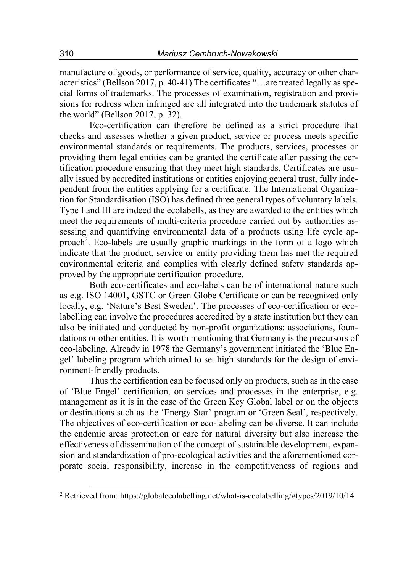manufacture of goods, or performance of service, quality, accuracy or other characteristics" (Bellson 2017, p. 40-41) The certificates "…are treated legally as special forms of trademarks. The processes of examination, registration and provisions for redress when infringed are all integrated into the trademark statutes of the world" (Bellson 2017, p. 32).

Eco-certification can therefore be defined as a strict procedure that checks and assesses whether a given product, service or process meets specific environmental standards or requirements. The products, services, processes or providing them legal entities can be granted the certificate after passing the certification procedure ensuring that they meet high standards. Certificates are usually issued by accredited institutions or entities enjoying general trust, fully independent from the entities applying for a certificate. The International Organization for Standardisation (ISO) has defined three general types of voluntary labels. Type I and III are indeed the ecolabells, as they are awarded to the entities which meet the requirements of multi-criteria procedure carried out by authorities assessing and quantifying environmental data of a products using life cycle approach<sup>2</sup>. Eco-labels are usually graphic markings in the form of a logo which indicate that the product, service or entity providing them has met the required environmental criteria and complies with clearly defined safety standards approved by the appropriate certification procedure.

Both eco-certificates and eco-labels can be of international nature such as e.g. ISO 14001, GSTC or Green Globe Certificate or can be recognized only locally, e.g. 'Nature's Best Sweden'. The processes of eco-certification or ecolabelling can involve the procedures accredited by a state institution but they can also be initiated and conducted by non-profit organizations: associations, foundations or other entities. It is worth mentioning that Germany is the precursors of eco-labeling. Already in 1978 the Germany's government initiated the 'Blue Engel' labeling program which aimed to set high standards for the design of environment-friendly products.

Thus the certification can be focused only on products, such as in the case of 'Blue Engel' certification, on services and processes in the enterprise, e.g. management as it is in the case of the Green Key Global label or on the objects or destinations such as the 'Energy Star' program or 'Green Seal', respectively. The objectives of eco-certification or eco-labeling can be diverse. It can include the endemic areas protection or care for natural diversity but also increase the effectiveness of dissemination of the concept of sustainable development, expansion and standardization of pro-ecological activities and the aforementioned corporate social responsibility, increase in the competitiveness of regions and

<sup>&</sup>lt;sup>2</sup> Retrieved from: https://globalecolabelling.net/what-is-ecolabelling/#types/2019/10/14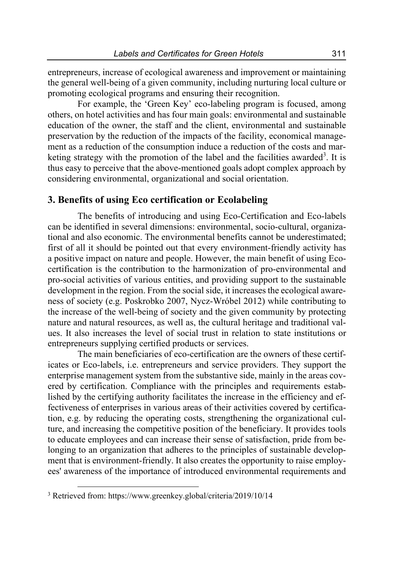entrepreneurs, increase of ecological awareness and improvement or maintaining the general well-being of a given community, including nurturing local culture or promoting ecological programs and ensuring their recognition.

For example, the 'Green Key' eco-labeling program is focused, among others, on hotel activities and has four main goals: environmental and sustainable education of the owner, the staff and the client, environmental and sustainable preservation by the reduction of the impacts of the facility, economical management as a reduction of the consumption induce a reduction of the costs and marketing strategy with the promotion of the label and the facilities awarded<sup>3</sup>. It is thus easy to perceive that the above-mentioned goals adopt complex approach by considering environmental, organizational and social orientation.

# **3. Benefits of using Eco certification or Ecolabeling**

The benefits of introducing and using Eco-Certification and Eco-labels can be identified in several dimensions: environmental, socio-cultural, organizational and also economic. The environmental benefits cannot be underestimated; first of all it should be pointed out that every environment-friendly activity has a positive impact on nature and people. However, the main benefit of using Ecocertification is the contribution to the harmonization of pro-environmental and pro-social activities of various entities, and providing support to the sustainable development in the region. From the social side, it increases the ecological awareness of society (e.g. Poskrobko 2007, Nycz-Wróbel 2012) while contributing to the increase of the well-being of society and the given community by protecting nature and natural resources, as well as, the cultural heritage and traditional values. It also increases the level of social trust in relation to state institutions or entrepreneurs supplying certified products or services.

The main beneficiaries of eco-certification are the owners of these certificates or Eco-labels, i.e. entrepreneurs and service providers. They support the enterprise management system from the substantive side, mainly in the areas covered by certification. Compliance with the principles and requirements established by the certifying authority facilitates the increase in the efficiency and effectiveness of enterprises in various areas of their activities covered by certification, e.g. by reducing the operating costs, strengthening the organizational culture, and increasing the competitive position of the beneficiary. It provides tools to educate employees and can increase their sense of satisfaction, pride from belonging to an organization that adheres to the principles of sustainable development that is environment-friendly. It also creates the opportunity to raise employees' awareness of the importance of introduced environmental requirements and

<sup>3</sup> Retrieved from: https://www.greenkey.global/criteria/2019/10/14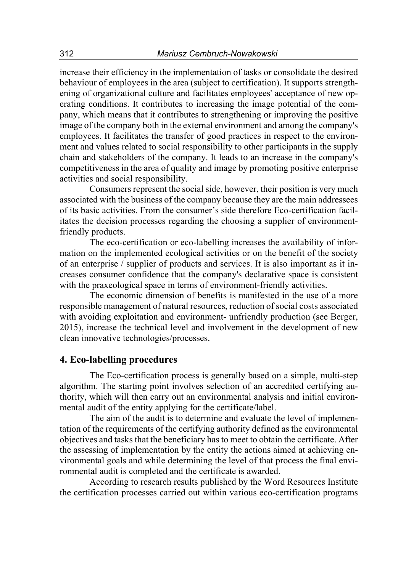increase their efficiency in the implementation of tasks or consolidate the desired behaviour of employees in the area (subject to certification). It supports strengthening of organizational culture and facilitates employees' acceptance of new operating conditions. It contributes to increasing the image potential of the company, which means that it contributes to strengthening or improving the positive image of the company both in the external environment and among the company's employees. It facilitates the transfer of good practices in respect to the environment and values related to social responsibility to other participants in the supply chain and stakeholders of the company. It leads to an increase in the company's competitiveness in the area of quality and image by promoting positive enterprise activities and social responsibility.

Consumers represent the social side, however, their position is very much associated with the business of the company because they are the main addressees of its basic activities. From the consumer's side therefore Eco-certification facilitates the decision processes regarding the choosing a supplier of environmentfriendly products.

The eco-certification or eco-labelling increases the availability of information on the implemented ecological activities or on the benefit of the society of an enterprise / supplier of products and services. It is also important as it increases consumer confidence that the company's declarative space is consistent with the praxeological space in terms of environment-friendly activities.

The economic dimension of benefits is manifested in the use of a more responsible management of natural resources, reduction of social costs associated with avoiding exploitation and environment- unfriendly production (see Berger, 2015), increase the technical level and involvement in the development of new clean innovative technologies/processes.

## **4. Eco-labelling procedures**

The Eco-certification process is generally based on a simple, multi-step algorithm. The starting point involves selection of an accredited certifying authority, which will then carry out an environmental analysis and initial environmental audit of the entity applying for the certificate/label.

The aim of the audit is to determine and evaluate the level of implementation of the requirements of the certifying authority defined as the environmental objectives and tasks that the beneficiary has to meet to obtain the certificate. After the assessing of implementation by the entity the actions aimed at achieving environmental goals and while determining the level of that process the final environmental audit is completed and the certificate is awarded.

According to research results published by the Word Resources Institute the certification processes carried out within various eco-certification programs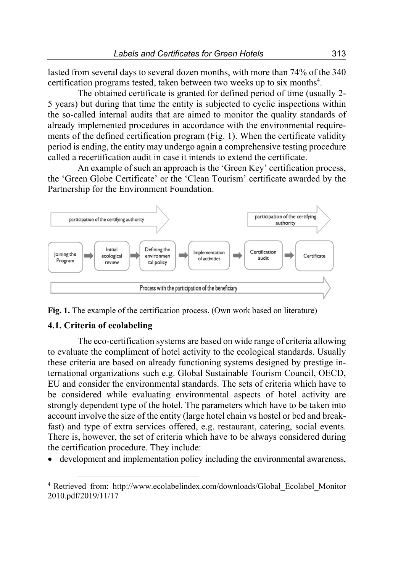lasted from several days to several dozen months, with more than 74% of the 340 certification programs tested, taken between two weeks up to six months<sup>4</sup>.

The obtained certificate is granted for defined period of time (usually 2- 5 years) but during that time the entity is subjected to cyclic inspections within the so-called internal audits that are aimed to monitor the quality standards of already implemented procedures in accordance with the environmental requirements of the defined certification program (Fig. 1). When the certificate validity period is ending, the entity may undergo again a comprehensive testing procedure called a recertification audit in case it intends to extend the certificate.

An example of such an approach is the 'Green Key' certification process, the 'Green Globe Certificate' or the 'Clean Tourism' certificate awarded by the Partnership for the Environment Foundation.



**Fig. 1.** The example of the certification process. (Own work based on literature)

# **4.1. Criteria of ecolabeling**

The eco-certification systems are based on wide range of criteria allowing to evaluate the compliment of hotel activity to the ecological standards. Usually these criteria are based on already functioning systems designed by prestige international organizations such e.g. Global Sustainable Tourism Council, OECD, EU and consider the environmental standards. The sets of criteria which have to be considered while evaluating environmental aspects of hotel activity are strongly dependent type of the hotel. The parameters which have to be taken into account involve the size of the entity (large hotel chain vs hostel or bed and breakfast) and type of extra services offered, e.g. restaurant, catering, social events. There is, however, the set of criteria which have to be always considered during the certification procedure. They include:

development and implementation policy including the environmental awareness,

<sup>4</sup> Retrieved from: http://www.ecolabelindex.com/downloads/Global\_Ecolabel\_Monitor 2010.pdf/2019/11/17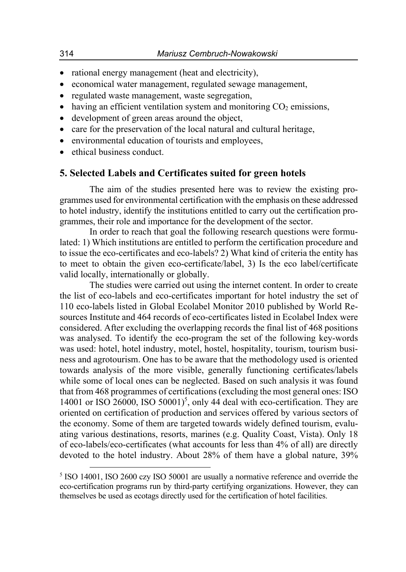- rational energy management (heat and electricity),
- economical water management, regulated sewage management,
- regulated waste management, waste segregation,
- having an efficient ventilation system and monitoring  $CO<sub>2</sub>$  emissions,
- development of green areas around the object,
- care for the preservation of the local natural and cultural heritage,
- environmental education of tourists and employees,
- ethical business conduct.

#### **5. Selected Labels and Certificates suited for green hotels**

The aim of the studies presented here was to review the existing programmes used for environmental certification with the emphasis on these addressed to hotel industry, identify the institutions entitled to carry out the certification programmes, their role and importance for the development of the sector.

In order to reach that goal the following research questions were formulated: 1) Which institutions are entitled to perform the certification procedure and to issue the eco-certificates and eco-labels? 2) What kind of criteria the entity has to meet to obtain the given eco-certificate/label, 3) Is the eco label/certificate valid locally, internationally or globally.

The studies were carried out using the internet content. In order to create the list of eco-labels and eco-certificates important for hotel industry the set of 110 eco-labels listed in Global Ecolabel Monitor 2010 published by World Resources Institute and 464 records of eco-certificates listed in Ecolabel Index were considered. After excluding the overlapping records the final list of 468 positions was analysed. To identify the eco-program the set of the following key-words was used: hotel, hotel industry, motel, hostel, hospitality, tourism, tourism business and agrotourism. One has to be aware that the methodology used is oriented towards analysis of the more visible, generally functioning certificates/labels while some of local ones can be neglected. Based on such analysis it was found that from 468 programmes of certifications (excluding the most general ones: ISO 14001 or ISO 26000, ISO 50001)<sup>5</sup>, only 44 deal with eco-certification. They are oriented on certification of production and services offered by various sectors of the economy. Some of them are targeted towards widely defined tourism, evaluating various destinations, resorts, marines (e.g. Quality Coast, Vista). Only 18 of eco-labels/eco-certificates (what accounts for less than 4% of all) are directly devoted to the hotel industry. About 28% of them have a global nature, 39%

<sup>&</sup>lt;sup>5</sup> ISO 14001, ISO 2600 czy ISO 50001 are usually a normative reference and override the eco-certification programs run by third-party certifying organizations. However, they can themselves be used as ecotags directly used for the certification of hotel facilities.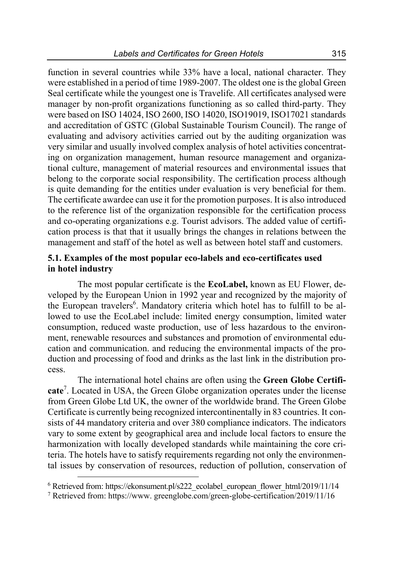function in several countries while 33% have a local, national character. They were established in a period of time 1989-2007. The oldest one is the global Green Seal certificate while the youngest one is Travelife. All certificates analysed were manager by non-profit organizations functioning as so called third-party. They were based on ISO 14024, ISO 2600, ISO 14020, ISO19019, ISO17021 standards and accreditation of GSTC (Global Sustainable Tourism Council). The range of evaluating and advisory activities carried out by the auditing organization was very similar and usually involved complex analysis of hotel activities concentrating on organization management, human resource management and organizational culture, management of material resources and environmental issues that belong to the corporate social responsibility. The certification process although is quite demanding for the entities under evaluation is very beneficial for them. The certificate awardee can use it for the promotion purposes. It is also introduced to the reference list of the organization responsible for the certification process and co-operating organizations e.g. Tourist advisors. The added value of certification process is that that it usually brings the changes in relations between the management and staff of the hotel as well as between hotel staff and customers.

### **5.1. Examples of the most popular eco-labels and eco-certificates used in hotel industry**

The most popular certificate is the **EcoLabel,** known as EU Flower, developed by the European Union in 1992 year and recognized by the majority of the European travelers<sup>6</sup>. Mandatory criteria which hotel has to fulfill to be allowed to use the EcoLabel include: limited energy consumption, limited water consumption, reduced waste production, use of less hazardous to the environment, renewable resources and substances and promotion of environmental education and communication. and reducing the environmental impacts of the production and processing of food and drinks as the last link in the distribution process.

The international hotel chains are often using the **Green Globe Certificate**<sup>7</sup> . Located in USA, the Green Globe organization operates under the license from Green Globe Ltd UK, the owner of the worldwide brand. The Green Globe Certificate is currently being recognized intercontinentally in 83 countries. It consists of 44 mandatory criteria and over 380 compliance indicators. The indicators vary to some extent by geographical area and include local factors to ensure the harmonization with locally developed standards while maintaining the core criteria. The hotels have to satisfy requirements regarding not only the environmental issues by conservation of resources, reduction of pollution, conservation of

<sup>&</sup>lt;sup>6</sup> Retrieved from: https://ekonsument.pl/s222\_ecolabel\_european\_flower\_html/2019/11/14

<sup>&</sup>lt;sup>7</sup> Retrieved from: https://www. greenglobe.com/green-globe-certification/2019/11/16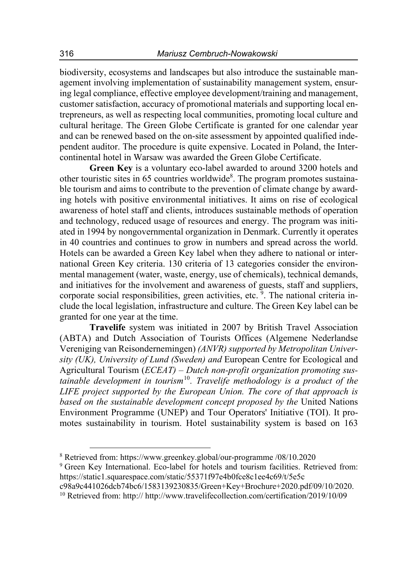biodiversity, ecosystems and landscapes but also introduce the sustainable management involving implementation of sustainability management system, ensuring legal compliance, effective employee development/training and management, customer satisfaction, accuracy of promotional materials and supporting local entrepreneurs, as well as respecting local communities, promoting local culture and cultural heritage. The Green Globe Certificate is granted for one calendar year and can be renewed based on the on-site assessment by appointed qualified independent auditor. The procedure is quite expensive. Located in Poland, the Intercontinental hotel in Warsaw was awarded the Green Globe Certificate.

**Green Key** is a voluntary eco-label awarded to around 3200 hotels and other touristic sites in 65 countries worldwide<sup>8</sup>. The program promotes sustainable tourism and aims to contribute to the prevention of climate change by awarding hotels with positive environmental initiatives. It aims on rise of ecological awareness of hotel staff and clients, introduces sustainable methods of operation and technology, reduced usage of resources and energy. The program was initiated in 1994 by nongovernmental organization in Denmark. Currently it operates in 40 countries and continues to grow in numbers and spread across the world. Hotels can be awarded a Green Key label when they adhere to national or international Green Key criteria. 130 criteria of 13 categories consider the environmental management (water, waste, energy, use of chemicals), technical demands, and initiatives for the involvement and awareness of guests, staff and suppliers, corporate social responsibilities, green activities, etc.  $9$ . The national criteria include the local legislation, infrastructure and culture. The Green Key label can be granted for one year at the time.

**Travelife** system was initiated in 2007 by British Travel Association (ABTA) and Dutch Association of Tourists Offices (Algemene Nederlandse Vereniging van Reisondernemingen) *(ANVR) supported by Metropolitan University (UK), University of Lund (Sweden) and* European Centre for Ecological and Agricultural Tourism (*ECEAT) – Dutch non-profit organization promoting sustainable development in tourism*<sup>10</sup>*. Travelife methodology is a product of the LIFE project supported by the European Union. The core of that approach is based on the sustainable development concept proposed by the* United Nations Environment Programme (UNEP) and Tour Operators' Initiative (TOI). It promotes sustainability in tourism. Hotel sustainability system is based on 163

<sup>8</sup> Retrieved from: https://www.greenkey.global/our-programme /08/10.2020

<sup>&</sup>lt;sup>9</sup> Green Key International. Eco-label for hotels and tourism facilities. Retrieved from: https://static1.squarespace.com/static/55371f97e4b0fce8c1ee4c69/t/5e5c

c98a9c441026dcb74bc6/1583139230835/Green+Key+Brochure+2020.pdf/09/10/2020.

<sup>&</sup>lt;sup>10</sup> Retrieved from: http:// http://www.travelifecollection.com/certification/2019/10/09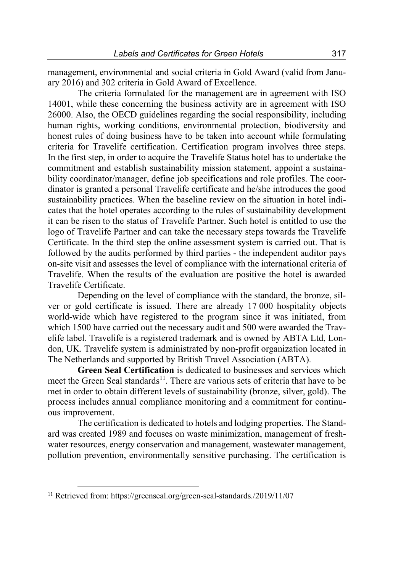management, environmental and social criteria in Gold Award (valid from January 2016) and 302 criteria in Gold Award of Excellence.

The criteria formulated for the management are in agreement with ISO 14001, while these concerning the business activity are in agreement with ISO 26000. Also, the OECD guidelines regarding the social responsibility, including human rights, working conditions, environmental protection, biodiversity and honest rules of doing business have to be taken into account while formulating criteria for Travelife certification. Certification program involves three steps. In the first step, in order to acquire the Travelife Status hotel has to undertake the commitment and establish sustainability mission statement, appoint a sustainability coordinator/manager, define job specifications and role profiles. The coordinator is granted a personal Travelife certificate and he/she introduces the good sustainability practices. When the baseline review on the situation in hotel indicates that the hotel operates according to the rules of sustainability development it can be risen to the status of Travelife Partner. Such hotel is entitled to use the logo of Travelife Partner and can take the necessary steps towards the Travelife Certificate. In the third step the online assessment system is carried out. That is followed by the audits performed by third parties - the independent auditor pays on-site visit and assesses the level of compliance with the international criteria of Travelife. When the results of the evaluation are positive the hotel is awarded Travelife Certificate.

Depending on the level of compliance with the standard, the bronze, silver or gold certificate is issued. There are already 17 000 hospitality objects world-wide which have registered to the program since it was initiated, from which 1500 have carried out the necessary audit and 500 were awarded the Travelife label. Travelife is a registered trademark and is owned by ABTA Ltd, London, UK. Travelife system is administrated by non-profit organization located in The Netherlands and supported by British Travel Association (ABTA).

**Green Seal Certification** is dedicated to businesses and services which meet the Green Seal standards<sup>11</sup>. There are various sets of criteria that have to be met in order to obtain different levels of sustainability (bronze, silver, gold). The process includes annual compliance monitoring and a commitment for continuous improvement.

The certification is dedicated to hotels and lodging properties. The Standard was created 1989 and focuses on waste minimization, management of freshwater resources, energy conservation and management, wastewater management, pollution prevention, environmentally sensitive purchasing. The certification is

<sup>&</sup>lt;sup>11</sup> Retrieved from: https://greenseal.org/green-seal-standards./2019/11/07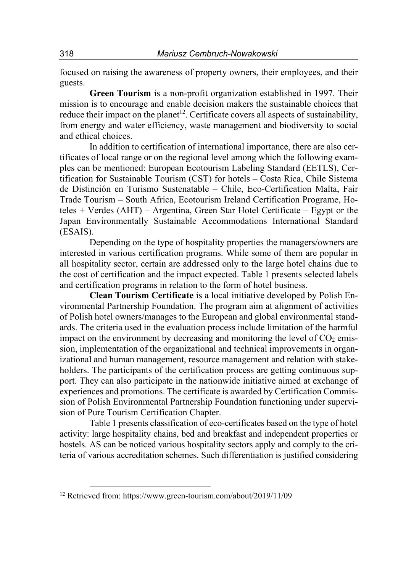focused on raising the awareness of property owners, their employees, and their guests.

**Green Tourism** is a non-profit organization established in 1997. Their mission is to encourage and enable decision makers the sustainable choices that reduce their impact on the planet<sup>12</sup>. Certificate covers all aspects of sustainability, from energy and water efficiency, waste management and biodiversity to social and ethical choices.

In addition to certification of international importance, there are also certificates of local range or on the regional level among which the following examples can be mentioned: European Ecotourism Labeling Standard (EETLS), Certification for Sustainable Tourism (CST) for hotels – Costa Rica, Chile Sistema de Distinción en Turismo Sustenatable – Chile, Eco-Certification Malta, Fair Trade Tourism – South Africa, Ecotourism Ireland Certification Programe, Hoteles + Verdes (AHT) – Argentina, Green Star Hotel Certificate – Egypt or the Japan Environmentally Sustainable Accommodations International Standard (ESAIS).

Depending on the type of hospitality properties the managers/owners are interested in various certification programs. While some of them are popular in all hospitality sector, certain are addressed only to the large hotel chains due to the cost of certification and the impact expected. Table 1 presents selected labels and certification programs in relation to the form of hotel business.

**Clean Tourism Certificate** is a local initiative developed by Polish Environmental Partnership Foundation. The program aim at alignment of activities of Polish hotel owners/manages to the European and global environmental standards. The criteria used in the evaluation process include limitation of the harmful impact on the environment by decreasing and monitoring the level of  $CO<sub>2</sub>$  emission, implementation of the organizational and technical improvements in organizational and human management, resource management and relation with stakeholders. The participants of the certification process are getting continuous support. They can also participate in the nationwide initiative aimed at exchange of experiences and promotions. The certificate is awarded by Certification Commission of Polish Environmental Partnership Foundation functioning under supervision of Pure Tourism Certification Chapter.

Table 1 presents classification of eco-certificates based on the type of hotel activity: large hospitality chains, bed and breakfast and independent properties or hostels. AS can be noticed various hospitality sectors apply and comply to the criteria of various accreditation schemes. Such differentiation is justified considering

<sup>12</sup> Retrieved from: https://www.green-tourism.com/about/2019/11/09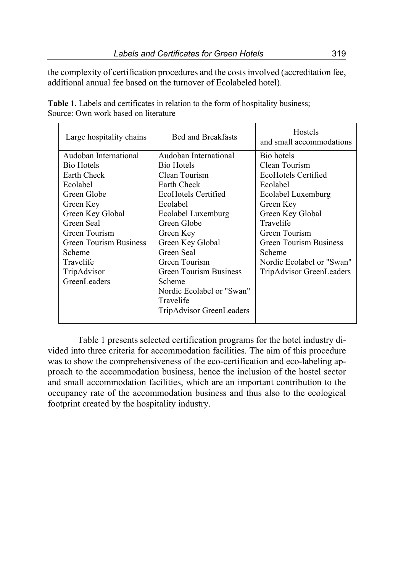the complexity of certification procedures and the costs involved (accreditation fee, additional annual fee based on the turnover of Ecolabeled hotel).

| Large hospitality chains      | <b>Bed and Breakfasts</b> | Hostels<br>and small accommodations |
|-------------------------------|---------------------------|-------------------------------------|
| Audoban International         | Audoban International     | Bio hotels                          |
| <b>Bio Hotels</b>             | <b>Bio Hotels</b>         | Clean Tourism                       |
| Earth Check                   | Clean Tourism             | EcoHotels Certified                 |
| Ecolabel                      | Earth Check               | Ecolabel                            |
| Green Globe                   | EcoHotels Certified       | Ecolabel Luxemburg                  |
| Green Key                     | Ecolabel                  | Green Key                           |
| Green Key Global              | Ecolabel Luxemburg        | Green Key Global                    |
| Green Seal                    | Green Globe               | Travelife                           |
| Green Tourism                 | Green Key                 | Green Tourism                       |
| <b>Green Tourism Business</b> | Green Key Global          | <b>Green Tourism Business</b>       |
| Scheme                        | Green Seal                | Scheme                              |
| Travelife                     | Green Tourism             | Nordic Ecolabel or "Swan"           |
| TripAdvisor                   | Green Tourism Business    | TripAdvisor GreenLeaders            |
| GreenLeaders                  | Scheme                    |                                     |
|                               | Nordic Ecolabel or "Swan" |                                     |
|                               | Travelife                 |                                     |
|                               | TripAdvisor GreenLeaders  |                                     |
|                               |                           |                                     |

**Table 1.** Labels and certificates in relation to the form of hospitality business; Source: Own work based on literature

Table 1 presents selected certification programs for the hotel industry divided into three criteria for accommodation facilities. The aim of this procedure was to show the comprehensiveness of the eco-certification and eco-labeling approach to the accommodation business, hence the inclusion of the hostel sector and small accommodation facilities, which are an important contribution to the occupancy rate of the accommodation business and thus also to the ecological footprint created by the hospitality industry.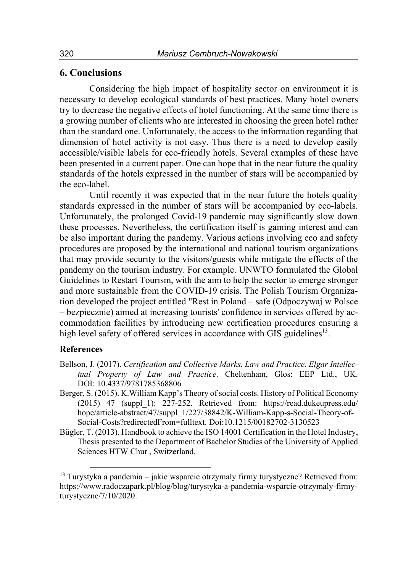# **6. Conclusions**

Considering the high impact of hospitality sector on environment it is necessary to develop ecological standards of best practices. Many hotel owners try to decrease the negative effects of hotel functioning. At the same time there is a growing number of clients who are interested in choosing the green hotel rather than the standard one. Unfortunately, the access to the information regarding that dimension of hotel activity is not easy. Thus there is a need to develop easily accessible/visible labels for eco-friendly hotels. Several examples of these have been presented in a current paper. One can hope that in the near future the quality standards of the hotels expressed in the number of stars will be accompanied by the eco-label.

Until recently it was expected that in the near future the hotels quality standards expressed in the number of stars will be accompanied by eco-labels. Unfortunately, the prolonged Covid-19 pandemic may significantly slow down these processes. Nevertheless, the certification itself is gaining interest and can be also important during the pandemy. Various actions involving eco and safety procedures are proposed by the international and national tourism organizations that may provide security to the visitors/guests while mitigate the effects of the pandemy on the tourism industry. For example. UNWTO formulated the Global Guidelines to Restart Tourism, with the aim to help the sector to emerge stronger and more sustainable from the COVID-19 crisis. The Polish Tourism Organization developed the project entitled "Rest in Poland – safe (Odpoczywaj w Polsce – bezpiecznie) aimed at increasing tourists' confidence in services offered by accommodation facilities by introducing new certification procedures ensuring a high level safety of offered services in accordance with GIS guidelines<sup>13</sup>.

## **References**

- Bellson, J. (2017). *Certification and Collective Marks. Law and Practice. Elgar Intellectual Property of Law and Practice*. Cheltenham, Glos: EEP Ltd., UK. DOI: 10.4337/9781785368806
- Berger, S. (2015). K.William Kapp's Theory of social costs. History of Political Economy (2015) 47 (suppl\_1): 227-252. Retrieved from: https://read.dukeupress.edu/ hope/article-abstract/47/suppl\_1/227/38842/K-William-Kapp-s-Social-Theory-of-Social-Costs?redirectedFrom=fulltext. Doi:10.1215/00182702-3130523
- Bügler, T. (2013). Handbook to achieve the ISO 14001 Certification in the Hotel Industry, Thesis presented to the Department of Bachelor Studies of the University of Applied Sciences HTW Chur , Switzerland.

 $13$  Turystyka a pandemia – jakie wsparcie otrzymały firmy turystyczne? Retrieved from: https://www.radoczapark.pl/blog/blog/turystyka-a-pandemia-wsparcie-otrzymaly-firmyturystyczne/7/10/2020.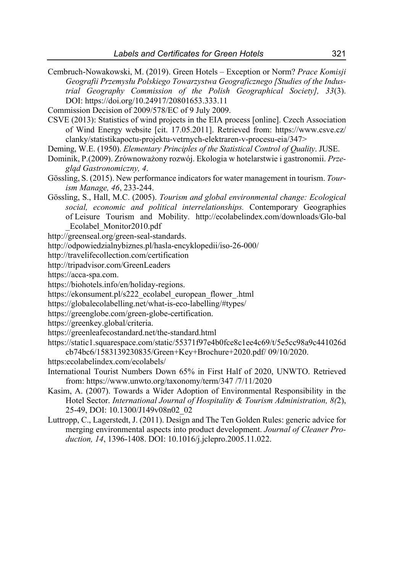- Cembruch-Nowakowski, M. (2019). Green Hotels Exception or Norm? *Prace Komisji Geografii Przemysłu Polskiego Towarzystwa Geograficznego [Studies of the Industrial Geography Commission of the Polish Geographical Society], 33*(3). DOI: https://doi.org/10.24917/20801653.333.11
- Commission Decision of 2009/578/EC of 9 July 2009.
- CSVE (2013): Statistics of wind projects in the EIA process [online]. Czech Association of Wind Energy website [cit. 17.05.2011]. Retrieved from: https://www.csve.cz/ clanky/statistikapoctu-projektu-vetrnych-elektraren-v-procesu-eia/347>
- Deming, W.E. (1950). *Elementary Principles of the Statistical Control of Quality*. JUSE.
- Dominik, P.(2009). Zrównoważony rozwój. Ekologia w hotelarstwie i gastronomii. *Przegląd Gastronomiczny, 4*.
- Gössling, S. (2015). New performance indicators for water management in tourism. *Tourism Manage, 46*, 233-244.
- Gössling, S., Hall, M.C. (2005). *Tourism and global environmental change: Ecological social, economic and political interrelationships.* Contemporary Geographies of Leisure Tourism and Mobility. http://ecolabelindex.com/downloads/Glo-bal \_Ecolabel\_Monitor2010.pdf
- http://greenseal.org/green-seal-standards.
- http://odpowiedzialnybiznes.pl/hasla-encyklopedii/iso-26-000/
- http://travelifecollection.com/certification
- http://tripadvisor.com/GreenLeaders
- https://acca-spa.com.
- https://biohotels.info/en/holiday-regions.
- https://ekonsument.pl/s222 ecolabel european flower.html
- https://globalecolabelling.net/what-is-eco-labelling/#types/
- https://greenglobe.com/green-globe-certification.
- https://greenkey.global/criteria.
- https://greenleafecostandard.net/the-standard.html
- https://static1.squarespace.com/static/55371f97e4b0fce8c1ee4c69/t/5e5cc98a9c441026d cb74bc6/1583139230835/Green+Key+Brochure+2020.pdf/ 09/10/2020.
- https:ecolabelindex.com/ecolabels/
- International Tourist Numbers Down 65% in First Half of 2020, UNWTO. Retrieved from: https://www.unwto.org/taxonomy/term/347 /7/11/2020
- Kasim, A. (2007). Towards a Wider Adoption of Environmental Responsibility in the Hotel Sector. *International Journal of Hospitality & Tourism Administration, 8(*2), 25-49, DOI: 10.1300/J149v08n02\_02
- Luttropp, C., Lagerstedt, J. (2011). Design and The Ten Golden Rules: generic advice for merging environmental aspects into product development. *Journal of Cleaner Production, 14*, 1396-1408. DOI: 10.1016/j.jclepro.2005.11.022.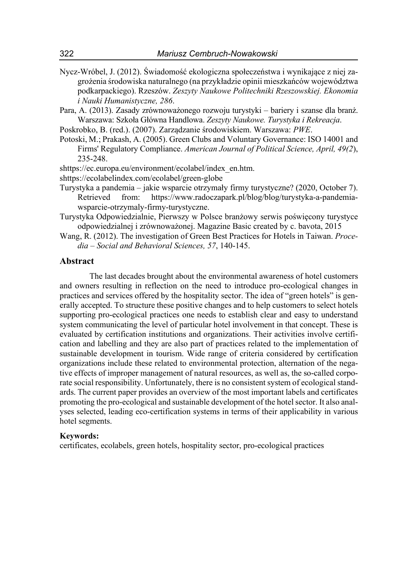- Nycz-Wróbel, J. (2012). Świadomość ekologiczna społeczeństwa i wynikające z niej zagrożenia środowiska naturalnego (na przykładzie opinii mieszkańców województwa podkarpackiego). Rzeszów. *Zeszyty Naukowe Politechniki Rzeszowskiej. Ekonomia i Nauki Humanistyczne, 286*.
- Para, A. (2013). Zasady zrównoważonego rozwoju turystyki bariery i szanse dla branż. Warszawa: Szkoła Główna Handlowa. *Zeszyty Naukowe. Turystyka i Rekreacja*.

Poskrobko, B. (red.). (2007). Zarządzanie środowiskiem. Warszawa: *PWE*.

Potoski, M.; Prakash, A. (2005). Green Clubs and Voluntary Governance: ISO 14001 and Firms' Regulatory Compliance. *American Journal of Political Science, April, 49(2*), 235-248.

shttps://ec.europa.eu/environment/ecolabel/index\_en.htm.

shttps://ecolabelindex.com/ecolabel/green-globe

- Turystyka a pandemia jakie wsparcie otrzymały firmy turystyczne? (2020, October 7). Retrieved from: https://www.radoczapark.pl/blog/blog/turystyka-a-pandemiawsparcie-otrzymaly-firmy-turystyczne.
- Turystyka Odpowiedzialnie, Pierwszy w Polsce branżowy serwis poświęcony turystyce odpowiedzialnej i zrównoważonej. Magazine Basic created by c. bavota, 2015
- Wang, R. (2012). The investigation of Green Best Practices for Hotels in Taiwan. *Procedia – Social and Behavioral Sciences, 57*, 140-145.

#### **Abstract**

The last decades brought about the environmental awareness of hotel customers and owners resulting in reflection on the need to introduce pro-ecological changes in practices and services offered by the hospitality sector. The idea of "green hotels" is generally accepted. To structure these positive changes and to help customers to select hotels supporting pro-ecological practices one needs to establish clear and easy to understand system communicating the level of particular hotel involvement in that concept. These is evaluated by certification institutions and organizations. Their activities involve certification and labelling and they are also part of practices related to the implementation of sustainable development in tourism. Wide range of criteria considered by certification organizations include these related to environmental protection, alternation of the negative effects of improper management of natural resources, as well as, the so-called corporate social responsibility. Unfortunately, there is no consistent system of ecological standards. The current paper provides an overview of the most important labels and certificates promoting the pro-ecological and sustainable development of the hotel sector. It also analyses selected, leading eco-certification systems in terms of their applicability in various hotel segments.

#### **Keywords:**

certificates, ecolabels, green hotels, hospitality sector, pro-ecological practices